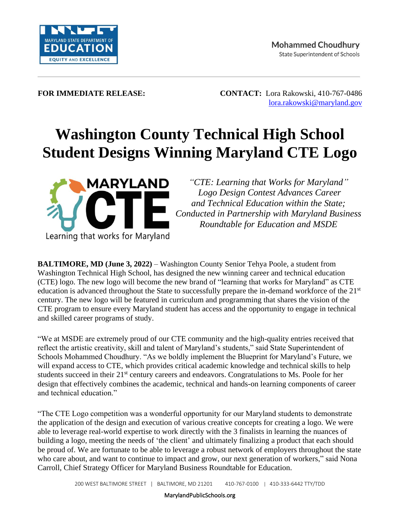

**FOR IMMEDIATE RELEASE: CONTACT:** Lora Rakowski, 410-767-0486 [lora.rakowski@maryland.gov](mailto:lora.rakowski@maryland.gov)

## **Washington County Technical High School Student Designs Winning Maryland CTE Logo**



*"CTE: Learning that Works for Maryland" Logo Design Contest Advances Career and Technical Education within the State; Conducted in Partnership with Maryland Business Roundtable for Education and MSDE*

**BALTIMORE, MD (June 3, 2022) – Washington County Senior Tehya Poole, a student from** Washington Technical High School, has designed the new winning career and technical education (CTE) logo. The new logo will become the new brand of "learning that works for Maryland" as CTE education is advanced throughout the State to successfully prepare the in-demand workforce of the 21<sup>st</sup> century. The new logo will be featured in curriculum and programming that shares the vision of the CTE program to ensure every Maryland student has access and the opportunity to engage in technical and skilled career programs of study.

"We at MSDE are extremely proud of our CTE community and the high-quality entries received that reflect the artistic creativity, skill and talent of Maryland's students," said State Superintendent of Schools Mohammed Choudhury. "As we boldly implement the Blueprint for Maryland's Future, we will expand access to CTE, which provides critical academic knowledge and technical skills to help students succeed in their 21<sup>st</sup> century careers and endeavors. Congratulations to Ms. Poole for her design that effectively combines the academic, technical and hands-on learning components of career and technical education."

"The CTE Logo competition was a wonderful opportunity for our Maryland students to demonstrate the application of the design and execution of various creative concepts for creating a logo. We were able to leverage real-world expertise to work directly with the 3 finalists in learning the nuances of building a logo, meeting the needs of 'the client' and ultimately finalizing a product that each should be proud of. We are fortunate to be able to leverage a robust network of employers throughout the state who care about, and want to continue to impact and grow, our next generation of workers," said Nona Carroll, Chief Strategy Officer for Maryland Business Roundtable for Education.